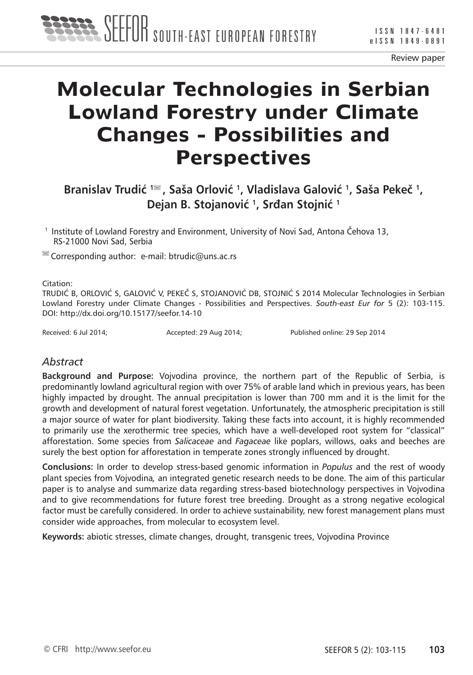Review paper

# **Molecular Technologies in Serbian Lowland Forestry under Climate Changes - Possibilities and Perspectives**

**Branislav Trudić <sup>1</sup> , Saša Orlović <sup>1</sup>, Vladislava Galović <sup>1</sup>, Saša Pekeč 1, Dejan B. Stojanović <sup>1</sup>, Srđan Stojnić <sup>1</sup>**

<sup>1</sup> Institute of Lowland Forestry and Environment, University of Novi Sad, Antona Čehova 13, RS-21000 Novi Sad, Serbia

 $\blacksquare$  Corresponding author: e-mail: btrudic@uns.ac.rs

Citation:

TRUDIĆ B, ORLOVIĆ S, GALOVIĆ V, PEKEČ S, STOJANOVIĆ DB, STOJNIĆ S 2014 Molecular Technologies in Serbian Lowland Forestry under Climate Changes - Possibilities and Perspectives. *South-east Eur for* 5 (2): 103-115. DOI: http://dx.doi.org/10.15177/seefor.14-10

Received: 6 Jul 2014; **Accepted: 29 Aug 2014;** Published online: 29 Sep 2014

### *Abstract*

**Background and Purpose:** Vojvodina province, the northern part of the Republic of Serbia, is predominantly lowland agricultural region with over 75% of arable land which in previous years, has been highly impacted by drought. The annual precipitation is lower than 700 mm and it is the limit for the growth and development of natural forest vegetation. Unfortunately, the atmospheric precipitation is still a major source of water for plant biodiversity. Taking these facts into account, it is highly recommended to primarily use the xerothermic tree species, which have a well-developed root system for "classical" afforestation. Some species from *Salicaceae* and *Fagaceae* like poplars, willows, oaks and beeches are surely the best option for afforestation in temperate zones strongly influenced by drought.

**Conclusions:** In order to develop stress-based genomic information in *Populus* and the rest of woody plant species from Vojvodina*,* an integrated genetic research needs to be done. The aim of this particular paper is to analyse and summarize data regarding stress-based biotechnology perspectives in Vojvodina and to give recommendations for future forest tree breeding. Drought as a strong negative ecological factor must be carefully considered. In order to achieve sustainability, new forest management plans must consider wide approaches, from molecular to ecosystem level.

**Keywords:** abiotic stresses, climate changes, drought, transgenic trees, Vojvodina Province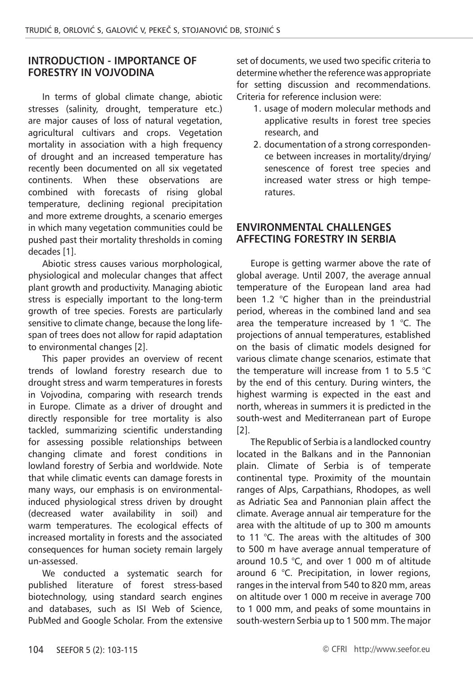#### **INTRODUCTION - IMPORTANCE OF FORESTRY IN VOJVODINA**

In terms of global climate change, abiotic stresses (salinity, drought, temperature etc.) are major causes of loss of natural vegetation, agricultural cultivars and crops. Vegetation mortality in association with a high frequency of drought and an increased temperature has recently been documented on all six vegetated continents. When these observations are combined with forecasts of rising global temperature, declining regional precipitation and more extreme droughts, a scenario emerges in which many vegetation communities could be pushed past their mortality thresholds in coming decades [1].

Abiotic stress causes various morphological, physiological and molecular changes that affect plant growth and productivity. Managing abiotic stress is especially important to the long-term growth of tree species. Forests are particularly sensitive to climate change, because the long lifespan of trees does not allow for rapid adaptation to environmental changes [2].

This paper provides an overview of recent trends of lowland forestry research due to drought stress and warm temperatures in forests in Vojvodina, comparing with research trends in Europe. Climate as a driver of drought and directly responsible for tree mortality is also tackled, summarizing scientific understanding for assessing possible relationships between changing climate and forest conditions in lowland forestry of Serbia and worldwide. Note that while climatic events can damage forests in many ways, our emphasis is on environmentalinduced physiological stress driven by drought (decreased water availability in soil) and warm temperatures. The ecological effects of increased mortality in forests and the associated consequences for human society remain largely un-assessed.

We conducted a systematic search for published literature of forest stress-based biotechnology, using standard search engines and databases, such as ISI Web of Science, PubMed and Google Scholar. From the extensive

set of documents, we used two specific criteria to determine whether the reference was appropriate for setting discussion and recommendations. Criteria for reference inclusion were:

- 1. usage of modern molecular methods and applicative results in forest tree species research, and
- 2. documentation of a strong correspondence between increases in mortality/drying/ senescence of forest tree species and increased water stress or high temperatures.

#### **ENVIRONMENTAL CHALLENGES AFFECTING FORESTRY IN SERBIA**

Europe is getting warmer above the rate of global average. Until 2007, the average annual temperature of the European land area had been 1.2 °C higher than in the preindustrial period, whereas in the combined land and sea area the temperature increased by 1 °C. The projections of annual temperatures, established on the basis of climatic models designed for various climate change scenarios, estimate that the temperature will increase from 1 to 5.5 °C by the end of this century. During winters, the highest warming is expected in the east and north, whereas in summers it is predicted in the south-west and Mediterranean part of Europe [2].

The Republic of Serbia is a landlocked country located in the Balkans and in the Pannonian plain. Climate of Serbia is of temperate continental type. Proximity of the mountain ranges of Alps, Carpathians, Rhodopes, as well as Adriatic Sea and Pannonian plain affect the climate. Average annual air temperature for the area with the altitude of up to 300 m amounts to 11 °C. The areas with the altitudes of 300 to 500 m have average annual temperature of around 10.5 °C, and over 1 000 m of altitude around 6 °C. Precipitation, in lower regions, ranges in the interval from 540 to 820 mm, areas on altitude over 1 000 m receive in average 700 to 1 000 mm, and peaks of some mountains in south-western Serbia up to 1 500 mm. The major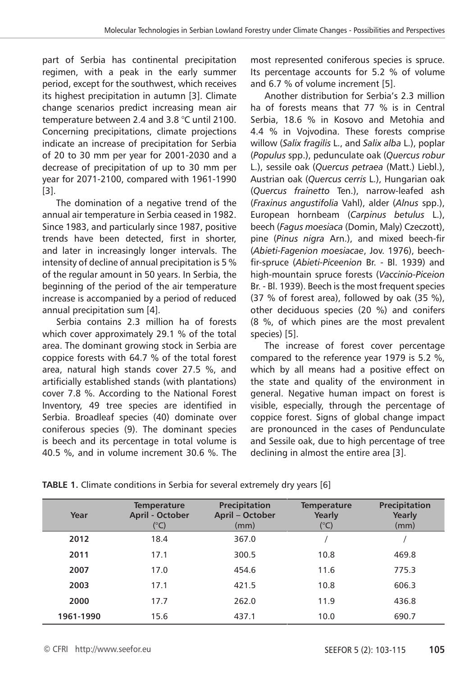part of Serbia has continental precipitation regimen, with a peak in the early summer period, except for the southwest, which receives its highest precipitation in autumn [3]. Climate change scenarios predict increasing mean air temperature between 2.4 and 3.8 °C until 2100. Concerning precipitations, climate projections indicate an increase of precipitation for Serbia of 20 to 30 mm per year for 2001-2030 and a decrease of precipitation of up to 30 mm per year for 2071-2100, compared with 1961-1990 [3].

The domination of a negative trend of the annual air temperature in Serbia ceased in 1982. Since 1983, and particularly since 1987, positive trends have been detected, first in shorter, and later in increasingly longer intervals. The intensity of decline of annual precipitation is 5 % of the regular amount in 50 years. In Serbia, the beginning of the period of the air temperature increase is accompanied by a period of reduced annual precipitation sum [4].

Serbia contains 2.3 million ha of forests which cover approximately 29.1 % of the total area. The dominant growing stock in Serbia are coppice forests with 64.7 % of the total forest area, natural high stands cover 27.5 %, and artificially established stands (with plantations) cover 7.8 %. According to the National Forest Inventory, 49 tree species are identified in Serbia. Broadleaf species (40) dominate over coniferous species (9). The dominant species is beech and its percentage in total volume is 40.5 %, and in volume increment 30.6 %. The most represented coniferous species is spruce. Its percentage accounts for 5.2 % of volume and 6.7 % of volume increment [5].

Another distribution for Serbia's 2.3 million ha of forests means that 77 % is in Central Serbia, 18.6 % in Kosovo and Metohia and 4.4 % in Vojvodina. These forests comprise willow (*Salix fragilis* L., and *Salix alba* L.), poplar (*Populus* spp.), pedunculate oak (*Quercus robur*  L.), sessile oak (*Quercus petraea* (Matt.) Liebl.), Austrian oak (*Quercus cerris* L.), Hungarian oak (*Quercus frainetto* Ten.), narrow-leafed ash (*Fraxinus angustifolia* Vahl), alder (*Alnus* spp.), European hornbeam (*Carpinus betulus* L.), beech (*Fagus moesiaca* (Domin, Maly) Czeczott), pine (*Pinus nigra* Arn.), and mixed beech-fir (*Abieti-Fagenion moesiacae*, Jov. 1976), beechfir-spruce (*Abieti-Piceenion* Br. - Bl. 1939) and high-mountain spruce forests (*Vaccinio-Piceion*  Br. - Bl. 1939). Beech is the most frequent species (37 % of forest area), followed by oak (35 %), other deciduous species (20 %) and conifers (8 %, of which pines are the most prevalent species) [5].

The increase of forest cover percentage compared to the reference year 1979 is 5.2 %, which by all means had a positive effect on the state and quality of the environment in general. Negative human impact on forest is visible, especially, through the percentage of coppice forest. Signs of global change impact are pronounced in the cases of Pendunculate and Sessile oak, due to high percentage of tree declining in almost the entire area [3].

| Year      | <b>Temperature</b><br>April - October<br>(°C) | Precipitation<br>April - October<br>(mm) | <b>Temperature</b><br>Yearly<br>$C^{\circ}$ C) | Precipitation<br>Yearly<br>(mm) |
|-----------|-----------------------------------------------|------------------------------------------|------------------------------------------------|---------------------------------|
| 2012      | 18.4                                          | 367.0                                    |                                                |                                 |
| 2011      | 17.1                                          | 300.5                                    | 10.8                                           | 469.8                           |
| 2007      | 17.0                                          | 454.6                                    | 11.6                                           | 775.3                           |
| 2003      | 17.1                                          | 421.5                                    | 10.8                                           | 606.3                           |
| 2000      | 17.7                                          | 262.0                                    | 11.9                                           | 436.8                           |
| 1961-1990 | 15.6                                          | 437.1                                    | 10.0                                           | 690.7                           |

**TABLE 1.** Climate conditions in Serbia for several extremely dry years [6]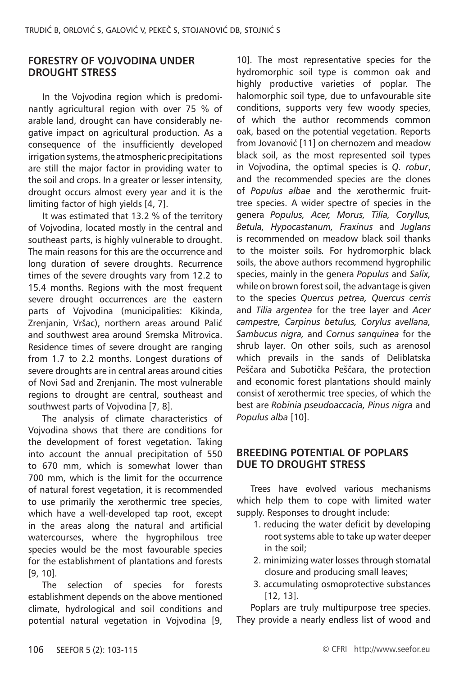#### **FORESTRY OF VOJVODINA UNDER DROUGHT STRESS**

In the Vojvodina region which is predominantly agricultural region with over 75 % of arable land, drought can have considerably negative impact on agricultural production. As a consequence of the insufficiently developed irrigation systems, the atmospheric precipitations are still the major factor in providing water to the soil and crops. In a greater or lesser intensity, drought occurs almost every year and it is the limiting factor of high yields [4, 7].

It was estimated that 13.2 % of the territory of Vojvodina, located mostly in the central and southeast parts, is highly vulnerable to drought. The main reasons for this are the occurrence and long duration of severe droughts. Recurrence times of the severe droughts vary from 12.2 to 15.4 months. Regions with the most frequent severe drought occurrences are the eastern parts of Vojvodina (municipalities: Kikinda, Zrenjanin, Vršac), northern areas around Palić and southwest area around Sremska Mitrovica. Residence times of severe drought are ranging from 1.7 to 2.2 months. Longest durations of severe droughts are in central areas around cities of Novi Sad and Zrenjanin. The most vulnerable regions to drought are central, southeast and southwest parts of Vojvodina [7, 8].

The analysis of climate characteristics of Vojvodina shows that there are conditions for the development of forest vegetation. Taking into account the annual precipitation of 550 to 670 mm, which is somewhat lower than 700 mm, which is the limit for the occurrence of natural forest vegetation, it is recommended to use primarily the xerothermic tree species, which have a well-developed tap root, except in the areas along the natural and artificial watercourses, where the hygrophilous tree species would be the most favourable species for the establishment of plantations and forests [9, 10].

The selection of species for forests establishment depends on the above mentioned climate, hydrological and soil conditions and potential natural vegetation in Vojvodina [9, 10]. The most representative species for the hydromorphic soil type is common oak and highly productive varieties of poplar. The halomorphic soil type, due to unfavourable site conditions, supports very few woody species, of which the author recommends common oak, based on the potential vegetation. Reports from Jovanović [11] on chernozem and meadow black soil, as the most represented soil types in Vojvodina, the optimal species is *Q. robur*, and the recommended species are the clones of *Populus albae* and the xerothermic fruittree species. A wider spectre of species in the genera *Populus, Acer, Morus, Tilia, Coryllus, Betula, Hypocastanum, Fraxinus* and *Juglans* is recommended on meadow black soil thanks to the moister soils*.* For hydromorphic black soils, the above authors recommend hygrophilic species, mainly in the genera *Populus* and *Salix,*  while on brown forest soil, the advantage is given to the species *Quercus petrea, Quercus cerris*  and *Tilia argentea* for the tree layer and *Acer campestre, Carpinus betulus, Corylus avellana, Sambucus nigra,* and *Cornus sanquinea* for the shrub layer*.* On other soils, such as arenosol which prevails in the sands of Deliblatska Peščara and Subotička Peščara, the protection and economic forest plantations should mainly consist of xerothermic tree species, of which the best are *Robinia pseudoaccacia, Pinus nigra* and *Populus alba* [10].

#### **BREEDING POTENTIAL OF POPLARS DUE TO DROUGHT STRESS**

Trees have evolved various mechanisms which help them to cope with limited water supply. Responses to drought include:

- 1. reducing the water deficit by developing root systems able to take up water deeper in the soil;
- 2. minimizing water losses through stomatal closure and producing small leaves;
- 3. accumulating osmoprotective substances [12, 13].

Poplars are truly multipurpose tree species. They provide a nearly endless list of wood and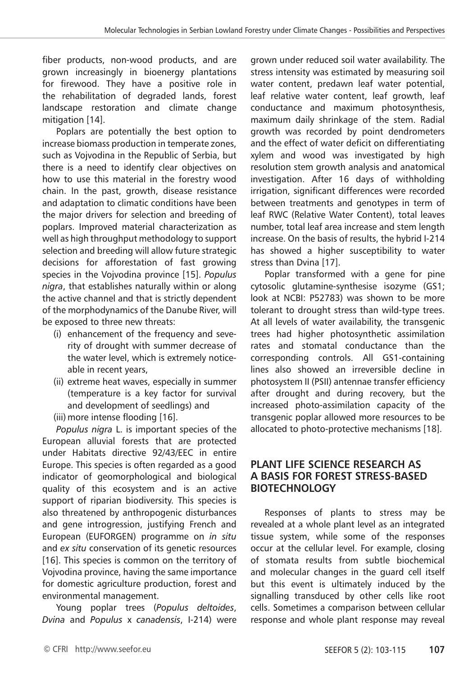fiber products, non-wood products, and are grown increasingly in bioenergy plantations for firewood. They have a positive role in the rehabilitation of degraded lands, forest landscape restoration and climate change mitigation [14].

Poplars are potentially the best option to increase biomass production in temperate zones, such as Vojvodina in the Republic of Serbia, but there is a need to identify clear objectives on how to use this material in the forestry wood chain. In the past, growth, disease resistance and adaptation to climatic conditions have been the major drivers for selection and breeding of poplars. Improved material characterization as well as high throughput methodology to support selection and breeding will allow future strategic decisions for afforestation of fast growing species in the Vojvodina province [15]. *Populus nigra*, that establishes naturally within or along the active channel and that is strictly dependent of the morphodynamics of the Danube River, will be exposed to three new threats:

- (i) enhancement of the frequency and severity of drought with summer decrease of the water level, which is extremely noticeable in recent years,
- (ii) extreme heat waves, especially in summer (temperature is a key factor for survival and development of seedlings) and
- (iii) more intense flooding [16].

*Populus nigra* L. is important species of the European alluvial forests that are protected under Habitats directive 92/43/EEC in entire Europe. This species is often regarded as a good indicator of geomorphological and biological quality of this ecosystem and is an active support of riparian biodiversity. This species is also threatened by anthropogenic disturbances and gene introgression, justifying French and European (EUFORGEN) programme on *in situ* and *ex situ* conservation of its genetic resources [16]. This species is common on the territory of Vojvodina province, having the same importance for domestic agriculture production, forest and environmental management.

Young poplar trees (*Populus deltoides*, *Dvina* and *Populus* x *canadensis*, I-214) were

grown under reduced soil water availability. The stress intensity was estimated by measuring soil water content, predawn leaf water potential, leaf relative water content, leaf growth, leaf conductance and maximum photosynthesis, maximum daily shrinkage of the stem. Radial growth was recorded by point dendrometers and the effect of water deficit on differentiating xylem and wood was investigated by high resolution stem growth analysis and anatomical investigation. After 16 days of withholding irrigation, significant differences were recorded between treatments and genotypes in term of leaf RWC (Relative Water Content), total leaves number, total leaf area increase and stem length increase. On the basis of results, the hybrid I-214 has showed a higher susceptibility to water stress than Dvina [17].

Poplar transformed with a gene for pine cytosolic glutamine-synthesise isozyme (GS1; look at NCBI: P52783) was shown to be more tolerant to drought stress than wild-type trees. At all levels of water availability, the transgenic trees had higher photosynthetic assimilation rates and stomatal conductance than the corresponding controls. All GS1-containing lines also showed an irreversible decline in photosystem II (PSII) antennae transfer efficiency after drought and during recovery, but the increased photo-assimilation capacity of the transgenic poplar allowed more resources to be allocated to photo-protective mechanisms [18].

#### **PLANT LIFE SCIENCE RESEARCH AS A BASIS FOR FOREST STRESS-BASED BIOTECHNOLOGY**

Responses of plants to stress may be revealed at a whole plant level as an integrated tissue system, while some of the responses occur at the cellular level. For example, closing of stomata results from subtle biochemical and molecular changes in the guard cell itself but this event is ultimately induced by the signalling transduced by other cells like root cells. Sometimes a comparison between cellular response and whole plant response may reveal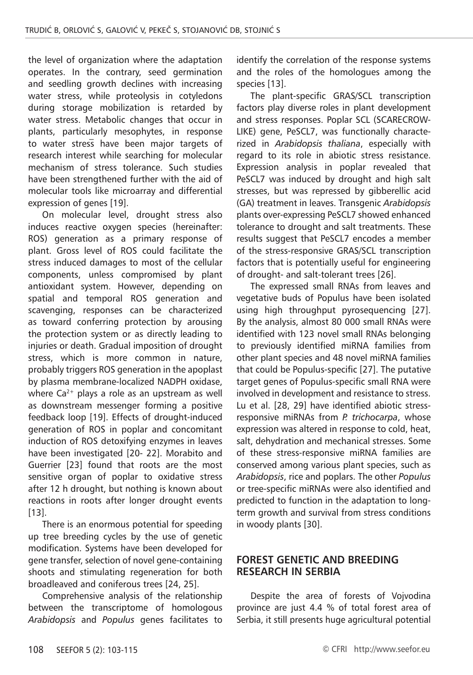the level of organization where the adaptation operates. In the contrary, seed germination and seedling growth declines with increasing water stress, while proteolysis in cotyledons during storage mobilization is retarded by water stress. Metabolic changes that occur in plants, particularly mesophytes, in response to water stress have been major targets of research interest while searching for molecular mechanism of stress tolerance. Such studies have been strengthened further with the aid of molecular tools like microarray and differential expression of genes [19].

On molecular level, drought stress also induces reactive oxygen species (hereinafter: ROS) generation as a primary response of plant. Gross level of ROS could facilitate the stress induced damages to most of the cellular components, unless compromised by plant antioxidant system. However, depending on spatial and temporal ROS generation and scavenging, responses can be characterized as toward conferring protection by arousing the protection system or as directly leading to injuries or death. Gradual imposition of drought stress, which is more common in nature, probably triggers ROS generation in the apoplast by plasma membrane-localized NADPH oxidase, where  $Ca^{2+}$  plays a role as an upstream as well as downstream messenger forming a positive feedback loop [19]. Effects of drought-induced generation of ROS in poplar and concomitant induction of ROS detoxifying enzymes in leaves have been investigated [20- 22]. Morabito and Guerrier [23] found that roots are the most sensitive organ of poplar to oxidative stress after 12 h drought, but nothing is known about reactions in roots after longer drought events [13].

There is an enormous potential for speeding up tree breeding cycles by the use of genetic modification. Systems have been developed for gene transfer, selection of novel gene-containing shoots and stimulating regeneration for both broadleaved and coniferous trees [24, 25].

Comprehensive analysis of the relationship between the transcriptome of homologous *Arabidopsis* and *Populus* genes facilitates to

identify the correlation of the response systems and the roles of the homologues among the species [13].

The plant-specific GRAS/SCL transcription factors play diverse roles in plant development and stress responses. Poplar SCL (SCARECROW-LIKE) gene, PeSCL7, was functionally characterized in *Arabidopsis thaliana*, especially with regard to its role in abiotic stress resistance. Expression analysis in poplar revealed that PeSCL7 was induced by drought and high salt stresses, but was repressed by gibberellic acid (GA) treatment in leaves. Transgenic *Arabidopsis* plants over-expressing PeSCL7 showed enhanced tolerance to drought and salt treatments. These results suggest that PeSCL7 encodes a member of the stress-responsive GRAS/SCL transcription factors that is potentially useful for engineering of drought- and salt-tolerant trees [26].

The expressed small RNAs from leaves and vegetative buds of Populus have been isolated using high throughput pyrosequencing [27]. By the analysis, almost 80 000 small RNAs were identified with 123 novel small RNAs belonging to previously identified miRNA families from other plant species and 48 novel miRNA families that could be Populus-specific [27]. The putative target genes of Populus-specific small RNA were involved in development and resistance to stress. Lu et al. [28, 29] have identified abiotic stressresponsive miRNAs from *P. trichocarpa*, whose expression was altered in response to cold, heat, salt, dehydration and mechanical stresses. Some of these stress-responsive miRNA families are conserved among various plant species, such as *Arabidopsis*, rice and poplars. The other *Populus*  or tree-specific miRNAs were also identified and predicted to function in the adaptation to longterm growth and survival from stress conditions in woody plants [30].

#### **FOREST GENETIC AND BREEDING RESEARCH IN SERBIA**

Despite the area of forests of Vojvodina province are just 4.4 % of total forest area of Serbia, it still presents huge agricultural potential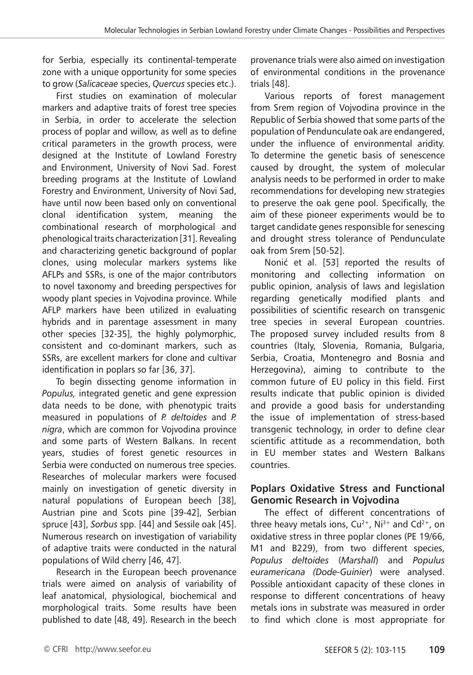for Serbia, especially its continental-temperate zone with a unique opportunity for some species to grow (*Salicaceae* species, *Quercus* species etc.).

First studies on examination of molecular markers and adaptive traits of forest tree species in Serbia, in order to accelerate the selection process of poplar and willow, as well as to define critical parameters in the growth process, were designed at the Institute of Lowland Forestry and Environment, University of Novi Sad. Forest breeding programs at the Institute of Lowland Forestry and Environment, University of Novi Sad, have until now been based only on conventional clonal identification system, meaning the combinational research of morphological and phenological traits characterization [31]. Revealing and characterizing genetic background of poplar clones, using molecular markers systems like AFLPs and SSRs, is one of the major contributors to novel taxonomy and breeding perspectives for woody plant species in Vojvodina province. While AFLP markers have been utilized in evaluating hybrids and in parentage assessment in many other species [32-35], the highly polymorphic, consistent and co-dominant markers, such as SSRs, are excellent markers for clone and cultivar identification in poplars so far [36, 37].

To begin dissecting genome information in *Populus,* integrated genetic and gene expression data needs to be done, with phenotypic traits measured in populations of *P. deltoides* and *P. nigra*, which are common for Vojvodina province and some parts of Western Balkans. In recent years, studies of forest genetic resources in Serbia were conducted on numerous tree species. Researches of molecular markers were focused mainly on investigation of genetic diversity in natural populations of European beech [38], Austrian pine and Scots pine [39-42], Serbian spruce [43], *Sorbus* spp. [44] and Sessile oak [45]. Numerous research on investigation of variability of adaptive traits were conducted in the natural populations of Wild cherry [46, 47].

Research in the European beech provenance trials were aimed on analysis of variability of leaf anatomical, physiological, biochemical and morphological traits. Some results have been published to date [48, 49]. Research in the beech

provenance trials were also aimed on investigation of environmental conditions in the provenance trials [48].

Various reports of forest management from Srem region of Vojvodina province in the Republic of Serbia showed that some parts of the population of Pendunculate oak are endangered, under the influence of environmental aridity. To determine the genetic basis of senescence caused by drought, the system of molecular analysis needs to be performed in order to make recommendations for developing new strategies to preserve the oak gene pool. Specifically, the aim of these pioneer experiments would be to target candidate genes responsible for senescing and drought stress tolerance of Pendunculate oak from Srem [50-52].

Nonić et al. [53] reported the results of monitoring and collecting information on public opinion, analysis of laws and legislation regarding genetically modified plants and possibilities of scientific research on transgenic tree species in several European countries. The proposed survey included results from 8 countries (Italy, Slovenia, Romania, Bulgaria, Serbia, Croatia, Montenegro and Bosnia and Herzegovina), aiming to contribute to the common future of EU policy in this field. First results indicate that public opinion is divided and provide a good basis for understanding the issue of implementation of stress-based transgenic technology, in order to define clear scientific attitude as a recommendation, both in EU member states and Western Balkans countries.

#### **Poplars Oxidative Stress and Functional Genomic Research in Vojvodina**

The effect of different concentrations of three heavy metals ions,  $Cu^{2+}$ , Ni<sup>3+</sup> and  $Cd^{2+}$ , on oxidative stress in three poplar clones (PE 19/66, M1 and B229), from two different species, *Populus deltoides* (*Marshall*) and *Populus euramericana (Dode-Guinier*) were analysed. Possible antioxidant capacity of these clones in response to different concentrations of heavy metals ions in substrate was measured in order to find which clone is most appropriate for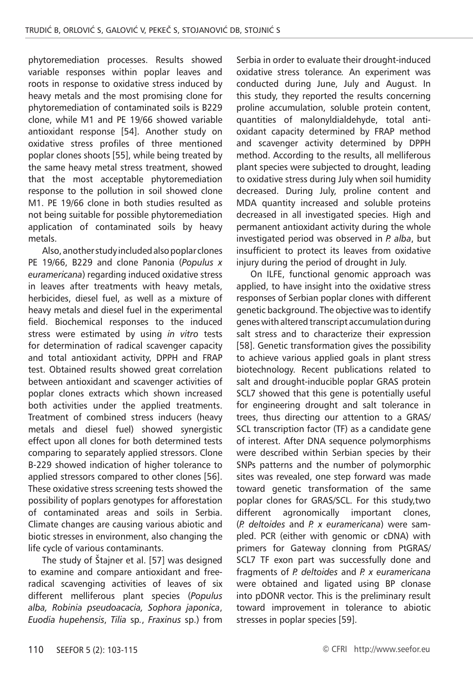phytoremediation processes. Results showed variable responses within poplar leaves and roots in response to oxidative stress induced by heavy metals and the most promising clone for phytoremediation of contaminated soils is B229 clone, while M1 and PE 19/66 showed variable antioxidant response [54]. Another study on oxidative stress profiles of three mentioned poplar clones shoots [55], while being treated by the same heavy metal stress treatment, showed that the most acceptable phytoremediation response to the pollution in soil showed clone M1. PE 19/66 clone in both studies resulted as not being suitable for possible phytoremediation application of contaminated soils by heavy metals.

Also, another study included also poplar clones PE 19/66, B229 and clone Panonia (*Populus x euramericana*) regarding induced oxidative stress in leaves after treatments with heavy metals, herbicides, diesel fuel, as well as a mixture of heavy metals and diesel fuel in the experimental field. Biochemical responses to the induced stress were estimated by using *in vitro* tests for determination of radical scavenger capacity and total antioxidant activity, DPPH and FRAP test. Obtained results showed great correlation between antioxidant and scavenger activities of poplar clones extracts which shown increased both activities under the applied treatments. Treatment of combined stress inducers (heavy metals and diesel fuel) showed synergistic effect upon all clones for both determined tests comparing to separately applied stressors. Clone B-229 showed indication of higher tolerance to applied stressors compared to other clones [56]. These oxidative stress screening tests showed the possibility of poplars genotypes for afforestation of contaminated areas and soils in Serbia. Climate changes are causing various abiotic and biotic stresses in environment, also changing the life cycle of various contaminants.

The study of Štajner et al. [57] was designed to examine and compare antioxidant and freeradical scavenging activities of leaves of six different melliferous plant species (*Populus alba, Robinia pseudoacacia, Sophora japonica*, *Euodia hupehensis*, *Tilia* sp*.*, *Fraxinus* sp.) from

Serbia in order to evaluate their drought-induced oxidative stress tolerance*.* An experiment was conducted during June, July and August. In this study, they reported the results concerning proline accumulation, soluble protein content, quantities of malonyldialdehyde, total antioxidant capacity determined by FRAP method and scavenger activity determined by DPPH method. According to the results, all melliferous plant species were subjected to drought, leading to oxidative stress during July when soil humidity decreased. During July, proline content and MDA quantity increased and soluble proteins decreased in all investigated species. High and permanent antioxidant activity during the whole investigated period was observed in *P. alba*, but insufficient to protect its leaves from oxidative injury during the period of drought in July.

On ILFE, functional genomic approach was applied, to have insight into the oxidative stress responses of Serbian poplar clones with different genetic background. The objective was to identify genes with altered transcript accumulation during salt stress and to characterize their expression [58]. Genetic transformation gives the possibility to achieve various applied goals in plant stress biotechnology. Recent publications related to salt and drought-inducible poplar GRAS protein SCL7 showed that this gene is potentially useful for engineering drought and salt tolerance in trees, thus directing our attention to a GRAS/ SCL transcription factor (TF) as a candidate gene of interest. After DNA sequence polymorphisms were described within Serbian species by their SNPs patterns and the number of polymorphic sites was revealed, one step forward was made toward genetic transformation of the same poplar clones for GRAS/SCL. For this study,two different agronomically important clones, (*P. deltoides* and *P. x euramericana*) were sampled. PCR (either with genomic or cDNA) with primers for Gateway clonning from PtGRAS/ SCL7 TF exon part was successfully done and fragments of *P. deltoides* and *P. x euramericana* were obtained and ligated using BP clonase into pDONR vector. This is the preliminary result toward improvement in tolerance to abiotic stresses in poplar species [59].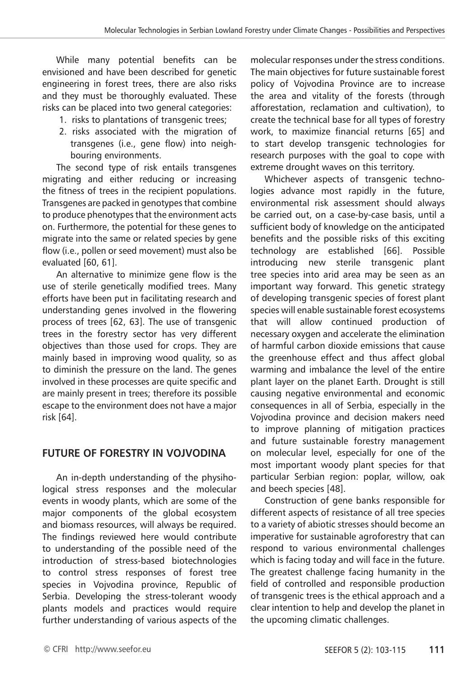While many potential benefits can be envisioned and have been described for genetic engineering in forest trees, there are also risks and they must be thoroughly evaluated. These risks can be placed into two general categories:

- 1. risks to plantations of transgenic trees;
- 2. risks associated with the migration of transgenes (i.e., gene flow) into neighbouring environments.

The second type of risk entails transgenes migrating and either reducing or increasing the fitness of trees in the recipient populations. Transgenes are packed in genotypes that combine to produce phenotypes that the environment acts on. Furthermore, the potential for these genes to migrate into the same or related species by gene flow (i.e., pollen or seed movement) must also be evaluated [60, 61].

An alternative to minimize gene flow is the use of sterile genetically modified trees. Many efforts have been put in facilitating research and understanding genes involved in the flowering process of trees [62, 63]. The use of transgenic trees in the forestry sector has very different objectives than those used for crops. They are mainly based in improving wood quality, so as to diminish the pressure on the land. The genes involved in these processes are quite specific and are mainly present in trees; therefore its possible escape to the environment does not have a major risk [64].

## **FUTURE OF FORESTRY IN VOJVODINA**

An in-depth understanding of the physihological stress responses and the molecular events in woody plants, which are some of the major components of the global ecosystem and biomass resources, will always be required. The findings reviewed here would contribute to understanding of the possible need of the introduction of stress-based biotechnologies to control stress responses of forest tree species in Vojvodina province, Republic of Serbia. Developing the stress-tolerant woody plants models and practices would require further understanding of various aspects of the

molecular responses under the stress conditions. The main objectives for future sustainable forest policy of Vojvodina Province are to increase the area and vitality of the forests (through afforestation, reclamation and cultivation), to create the technical base for all types of forestry work, to maximize financial returns [65] and to start develop transgenic technologies for research purposes with the goal to cope with extreme drought waves on this territory.

Whichever aspects of transgenic technologies advance most rapidly in the future, environmental risk assessment should always be carried out, on a case-by-case basis, until a sufficient body of knowledge on the anticipated benefits and the possible risks of this exciting technology are established [66]. Possible introducing new sterile transgenic plant tree species into arid area may be seen as an important way forward. This genetic strategy of developing transgenic species of forest plant species will enable sustainable forest ecosystems that will allow continued production of necessary oxygen and accelerate the elimination of harmful carbon dioxide emissions that cause the greenhouse effect and thus affect global warming and imbalance the level of the entire plant layer on the planet Earth. Drought is still causing negative environmental and economic consequences in all of Serbia, especially in the Vojvodina province and decision makers need to improve planning of mitigation practices and future sustainable forestry management on molecular level, especially for one of the most important woody plant species for that particular Serbian region: poplar, willow, oak and beech species [48].

Construction of gene banks responsible for different aspects of resistance of all tree species to a variety of abiotic stresses should become an imperative for sustainable agroforestry that can respond to various environmental challenges which is facing today and will face in the future. The greatest challenge facing humanity in the field of controlled and responsible production of transgenic trees is the ethical approach and a clear intention to help and develop the planet in the upcoming climatic challenges.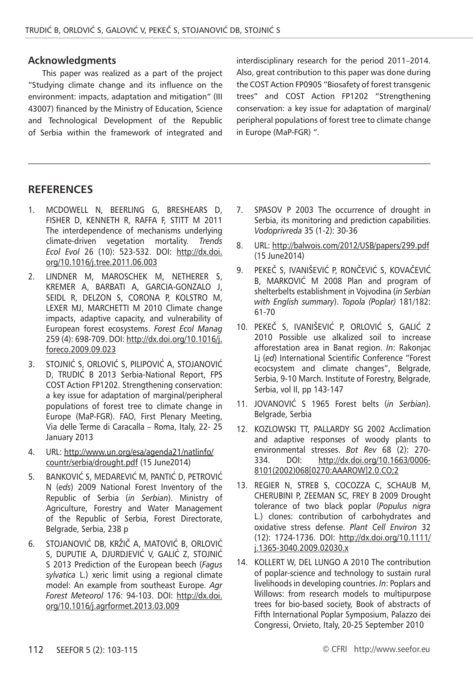#### **Acknowledgments**

This paper was realized as a part of the project "Studying climate change and its influence on the environment: impacts, adaptation and mitigation" (III 43007) financed by the Ministry of Education, Science and Technological Development of the Republic of Serbia within the framework of integrated and interdisciplinary research for the period 2011–2014. Also, great contribution to this paper was done during the COST Action FP0905 "Biosafety of forest transgenic trees" and COST Action FP1202 "Strengthening conservation: a key issue for adaptation of marginal/ peripheral populations of forest tree to climate change in Europe (MaP-FGR) ".

#### **RefereNces**

- 1. MCDOWELL N, BEERLING G, BRESHEARS D, FISHER D, KENNETH R, RAFFA F, STITT M 2011 The interdependence of mechanisms underlying climate-driven vegetation mortality. *Trends Ecol Evol* 26 (10): 523-532. DOI: http://dx.doi. org/10.1016/j.tree.2011.06.003
- 2. LINDNER M, MAROSCHEK M, NETHERER S, KREMER A, BARBATI A, GARCIA-GONZALO J, SEIDL R, DELZON S, CORONA P, KOLSTRO M, LEXER MJ, MARCHETTI M 2010 Climate change impacts, adaptive capacity, and vulnerability of European forest ecosystems. *Forest Ecol Manag* 259 (4): 698-709. DOI: http://dx.doi.org/10.1016/j. foreco.2009.09.023
- 3. STOJNIĆ S, ORLOVIĆ S, PILIPOVIĆ A, STOJANOVIĆ D, TRUDIĆ B 2013 Serbia-National Report, FPS COST Action FP1202. Strengthening conservation: a key issue for adaptation of marginal/peripheral populations of forest tree to climate change in Europe (MaP-FGR). FAO, First Plenary Meeting, Via delle Terme di Caracalla – Roma, Italy, 22- 25 January 2013
- 4. URL: http://www.un.org/esa/agenda21/natlinfo/ countr/serbia/drought.pdf (15 June2014)
- 5. BANKOVIĆ S, MEDAREVIĆ M, PANTIĆ D, PETROVIĆ N (*eds*) 2009 National Forest Inventory of the Republic of Serbia (*in Serbian*). Ministry of Agriculture, Forestry and Water Management of the Republic of Serbia, Forest Directorate, Belgrade, Serbia, 238 p
- 6. STOJANOVIĆ DB, KRŽIČ A, MATOVIĆ B, ORLOVIĆ S, DUPUTIE A, DJURDJEVIĆ V, GALIĆ Z, STOJNIĆ S 2013 Prediction of the European beech (*Fagus sylvatica* L.) xeric limit using a regional climate model: An example from southeast Europe. *Agr Forest Meteorol* 176: 94-103. DOI: http://dx.doi. org/10.1016/j.agrformet.2013.03.009
- 7. SPASOV P 2003 The occurrence of drought in Serbia, its monitoring and prediction capabilities. *Vodoprivreda* 35 (1-2): 30-36
- 8. URL: http://balwois.com/2012/USB/papers/299.pdf (15 June2014)
- 9. PEKEČ S, IVANIŠEVIĆ P, RONČEVIĆ S, KOVAČEVIĆ B, MARKOVIĆ M 2008 Plan and program of shelterbelts establishment in Vojvodina (*in Serbian with English summary*). *Topola (Poplar)* 181/182: 61-70
- 10. PEKEČ S, IVANIŠEVIĆ P, ORLOVIĆ S, GALIĆ Z 2010 Possible use alkalized soil to increase afforestation area in Banat region. *In*: Rakonjac Lj (*ed*) International Scientific Conference "Forest ecocsystem and climate changes", Belgrade, Serbia, 9-10 March. Institute of Forestry, Belgrade, Serbia, vol II, pp 143-147
- 11. JOVANOVIĆ S 1965 Forest belts (*in Serbian*). Belgrade, Serbia
- 12. KOZLOWSKI TT, PALLARDY SG 2002 Acclimation and adaptive responses of woody plants to environmental stresses. *Bot Rev* 68 (2): 270- 334. DOI: http://dx.doi.org/10.1663/0006- 8101(2002)068[0270:AAAROW]2.0.CO;2
- 13. REGIER N, STREB S, COCOZZA C, SCHAUB M, CHERUBINI P, ZEEMAN SC, FREY B 2009 Drought tolerance of two black poplar (*Populus nigra* L.) clones: contribution of carbohydrates and oxidative stress defense. *Plant Cell Environ* 32 (12): 1724-1736. DOI: http://dx.doi.org/10.1111/ j.1365-3040.2009.02030.x
- 14. KOLLERT W, DEL LUNGO A 2010 The contribution of poplar-science and technology to sustain rural livelihoods in developing countries. *In*: Poplars and Willows: from research models to multipurpose trees for bio-based society, Book of abstracts of Fifth International Poplar Symposium, Palazzo dei Congressi, Orvieto, Italy, 20-25 September 2010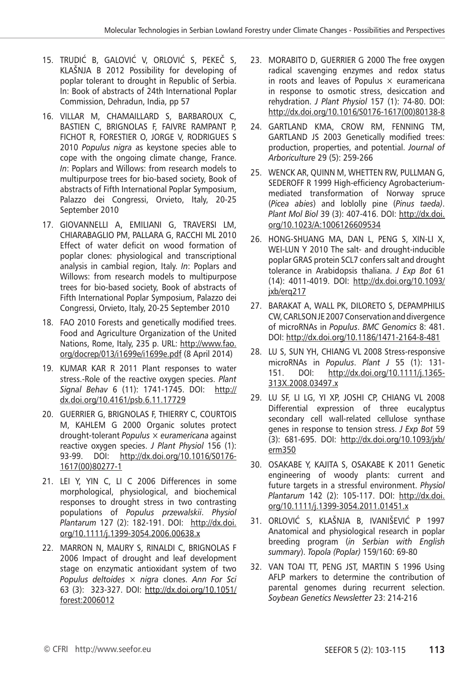- 15. TRUDIĆ B, GALOVIĆ V, ORLOVIĆ S, PEKEČ S, KLAŠNJA B 2012 Possibility for developing of poplar tolerant to drought in Republic of Serbia. In: Book of abstracts of 24th International Poplar Commission, Dehradun, India, pp 57
- 16. VILLAR M, CHAMAILLARD S, BARBAROUX C, BASTIEN C, BRIGNOLAS F, FAIVRE RAMPANT P, FICHOT R, FORESTIER O, JORGE V, RODRIGUES S 2010 *Populus nigra* as keystone species able to cope with the ongoing climate change, France. *In*: Poplars and Willows: from research models to multipurpose trees for bio-based society, Book of abstracts of Fifth International Poplar Symposium, Palazzo dei Congressi, Orvieto, Italy, 20-25 September 2010
- 17. GIOVANNELLI A, EMILIANI G, TRAVERSI LM, CHIARABAGLIO PM, PALLARA G, RACCHI ML 2010 Effect of water deficit on wood formation of poplar clones: physiological and transcriptional analysis in cambial region, Italy. *In*: Poplars and Willows: from research models to multipurpose trees for bio-based society, Book of abstracts of Fifth International Poplar Symposium, Palazzo dei Congressi, Orvieto, Italy, 20-25 September 2010
- 18. FAO 2010 Forests and genetically modified trees. Food and Agriculture Organization of the United Nations, Rome, Italy, 235 p. URL: http://www.fao. org/docrep/013/i1699e/i1699e.pdf (8 April 2014)
- 19. KUMAR KAR R 2011 Plant responses to water stress.-Role of the reactive oxygen species. *Plant Signal Behav* 6 (11): 1741-1745. DOI: http:// dx.doi.org/10.4161/psb.6.11.17729
- 20. GUERRIER G, BRIGNOLAS F, THIERRY C, COURTOIS M, KAHLEM G 2000 Organic solutes protect drought-tolerant *Populus* × *euramericana* against reactive oxygen species. *J Plant Physiol* 156 (1): 93-99. DOI: http://dx.doi.org/10.1016/S0176- 1617(00)80277-1
- 21. LEI Y, YIN C, LI C 2006 Differences in some morphological, physiological, and biochemical responses to drought stress in two contrasting populations of *Populus przewalskii*. *Physiol Plantarum* 127 (2): 182-191. DOI: http://dx.doi. org/10.1111/j.1399-3054.2006.00638.x
- 22. MARRON N, MAURY S, RINALDI C, BRIGNOLAS F 2006 Impact of drought and leaf development stage on enzymatic antioxidant system of two *Populus deltoides* × *nigra* clones. *Ann For Sci* 63 (3): 323-327. DOI: http://dx.doi.org/10.1051/ forest:2006012
- 23. MORABITO D, GUERRIER G 2000 The free oxygen radical scavenging enzymes and redox status in roots and leaves of Populus  $\times$  euramericana in response to osmotic stress, desiccation and rehydration. *J Plant Physiol* 157 (1): 74-80. DOI: http://dx.doi.org/10.1016/S0176-1617(00)80138-8
- 24. GARTLAND KMA, CROW RM, FENNING TM, GARTLAND JS 2003 Genetically modified trees: production, properties, and potential. *Journal of Arboriculture* 29 (5): 259-266
- 25. WENCK AR, QUINN M, WHETTEN RW, PULLMAN G, SEDEROFF R 1999 High-efficiency Agrobacteriummediated transformation of Norway spruce (*Picea abies*) and loblolly pine (*Pinus taeda)*. *Plant Mol Biol* 39 (3): 407-416. DOI: http://dx.doi. org/10.1023/A:1006126609534
- 26. HONG-SHUANG MA, DAN L, PENG S, XIN-LI X, WEI-LUN Y 2010 The salt- and drought-inducible poplar GRAS protein SCL7 confers salt and drought tolerance in Arabidopsis thaliana. *J Exp Bot* 61 (14): 4011-4019. DOI: http://dx.doi.org/10.1093/ jxb/erq217
- 27. BARAKAT A, WALL PK, DILORETO S, DEPAMPHILIS CW, CARLSON JE 2007 Conservation and divergence of microRNAs in *Populus*. *BMC Genomics* 8: 481. DOI: http://dx.doi.org/10.1186/1471-2164-8-481
- 28. LU S, SUN YH, CHIANG VL 2008 Stress-responsive microRNAs in *Populus*. *Plant J* 55 (1): 131- 151. DOI: http://dx.doi.org/10.1111/j.1365- 313X.2008.03497.x
- 29. LU SF, LI LG, YI XP, JOSHI CP, CHIANG VL 2008 Differential expression of three eucalyptus secondary cell wall-related cellulose synthase genes in response to tension stress. *J Exp Bot* 59 (3): 681-695. DOI: http://dx.doi.org/10.1093/jxb/ erm350
- 30. OSAKABE Y, KAJITA S, OSAKABE K 2011 Genetic engineering of woody plants: current and future targets in a stressful environment. *Physiol Plantarum* 142 (2): 105-117. DOI: http://dx.doi. org/10.1111/j.1399-3054.2011.01451.x
- 31. ORLOVIĆ S, KLAŠNJA B, IVANIŠEVIĆ P 1997 Anatomical and physiological research in poplar breeding program (*in Serbian with English summary*). *Topola (Poplar)* 159/160: 69-80
- 32. VAN TOAI TT, PENG JST, MARTIN S 1996 Using AFLP markers to determine the contribution of parental genomes during recurrent selection. *Soybean Genetics Newsletter* 23: 214-216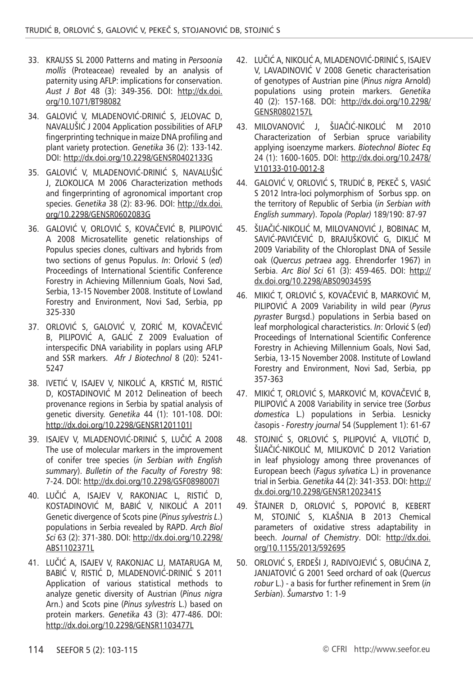- 33. KRAUSS SL 2000 Patterns and mating in *Persoonia mollis* (Proteaceae) revealed by an analysis of paternity using AFLP: implications for conservation. *Aust J Bot* 48 (3): 349-356. DOI: http://dx.doi. org/10.1071/BT98082
- 34. GALOVIĆ V, MLADENOVIĆ-DRINIĆ S, JELOVAC D, NAVALUŠIĆ J 2004 Application possibilities of AFLP fingerprinting technique in maize DNA profiling and plant variety protection. *Genetika* 36 (2): 133-142. DOI: http://dx.doi.org/10.2298/GENSR0402133G
- 35. GALOVIĆ V, MLADENOVIĆ-DRINIĆ S, NAVALUŠIĆ J, ZLOKOLICA M 2006 Characterization methods and fingerprinting of agronomical important crop species. *Genetika* 38 (2): 83-96. DOI: http://dx.doi. org/10.2298/GENSR0602083G
- 36. GALOVIĆ V, ORLOVIĆ S, KOVAČEVIĆ B, PILIPOVIĆ A 2008 Microsatellite genetic relationships of Populus species clones, cultivars and hybrids from two sections of genus Populus. *In*: Orlović S (*ed*) Proceedings of International Scientific Conference Forestry in Achieving Millennium Goals, Novi Sad, Serbia, 13-15 November 2008. Institute of Lowland Forestry and Environment, Novi Sad, Serbia, pp 325-330
- 37. ORLOVIĆ S, GALOVIĆ V, ZORIĆ M, KOVAČEVIĆ B, PILIPOVIĆ A, GALIĆ Z 2009 Evaluation of interspecific DNA variability in poplars using AFLP and SSR markers. *Afr J Biotechnol* 8 (20): 5241- 5247
- 38. IVETIĆ V, ISAJEV V, NIKOLIĆ A, KRSTIĆ M, RISTIĆ D, KOSTADINOVIĆ M 2012 Delineation of beech provenance regions in Serbia by spatial analysis of genetic diversity. *Genetika* 44 (1): 101-108. DOI: http://dx.doi.org/10.2298/GENSR1201101I
- 39. ISAJEV V, MLADENOVIĆ-DRINIĆ S, LUČIĆ A 2008 The use of molecular markers in the improvement of conifer tree species (*in Serbian with English summary*). *Bulletin of the Faculty of Forestry* 98: 7-24. DOI: http://dx.doi.org/10.2298/GSF0898007I
- 40. LUČIĆ A, ISAJEV V, RAKONJAC L, RISTIĆ D, KOSTADINOVIĆ M, BABIĆ V, NIKOLIĆ A 2011 Genetic divergence of Scots pine (*Pinus sylvestris L*.) populations in Serbia revealed by RAPD. *Arch Biol Sci* 63 (2): 371-380. DOI: http://dx.doi.org/10.2298/ ABS1102371L
- 41. LUČIĆ A, ISAJEV V, RAKONJAC LJ, MATARUGA M, BABIĆ V, RISTIĆ D, MLADENOVIĆ-DRINIĆ S 2011 Application of various statistical methods to analyze genetic diversity of Austrian (*Pinus nigra*  Arn.) and Scots pine (*Pinus sylvestris* L.) based on protein markers. *Genetika* 43 (3): 477-486. DOI: http://dx.doi.org/10.2298/GENSR1103477L
- 42. LUČIĆ A, NIKOLIĆ A, MLADENOVIĆ-DRINIĆ S, ISAJEV V, LAVADINOVIĆ V 2008 Genetic characterisation of genotypes of Austrian pine (*Pinus nigra* Arnold) populations using protein markers. *Genetika* 40 (2): 157-168. DOI: http://dx.doi.org/10.2298/ GENSR0802157L
- 43. MILOVANOVIĆ J, ŠIJAČIĆ-NIKOLIĆ M 2010 Characterization of Serbian spruce variability applying isoenzyme markers. *Biotechnol Biotec Eq* 24 (1): 1600-1605. DOI: http://dx.doi.org/10.2478/ V10133-010-0012-8
- 44. GALOVIĆ V, ORLOVIĆ S, TRUDIĆ B, PEKEČ S, VASIĆ S 2012 Intra-loci polymorphism of Sorbus spp. on the territory of Republic of Serbia (*in Serbian with English summary*). *Topola (Poplar)* 189/190: 87-97
- 45. ŠIJAČIĆ-NIKOLIĆ M, MILOVANOVIĆ J, BOBINAC M, SAVIĆ-PAVIĆEVIĆ D, BRAJUŠKOVIĆ G, DIKLIĆ M 2009 Variability of the Chloroplast DNA of Sessile oak (*Quercus petraea* agg. Ehrendorfer 1967) in Serbia. *Arc Biol Sci* 61 (3): 459-465. DOI: http:// dx.doi.org/10.2298/ABS0903459S
- 46. MIKIĆ T, ORLOVIĆ S, KOVAČEVIĆ B, MARKOVIĆ M, PILIPOVIĆ A 2009 Variability in wild pear (*Pyrus pyraster* Burgsd.) populations in Serbia based on leaf morphological characteristics. *In*: Orlović S (*ed*) Proceedings of International Scientific Conference Forestry in Achieving Millennium Goals, Novi Sad, Serbia, 13-15 November 2008. Institute of Lowland Forestry and Environment, Novi Sad, Serbia, pp 357-363
- 47. MIKIĆ T, ORLOVIĆ S, MARKOVIĆ M, KOVAČEVIĆ B, PILIPOVIĆ A 2008 Variability in service tree (*Sorbus domestica* L.) populations in Serbia. Lesnicky časopis - *Forestry journal* 54 (Supplement 1): 61-67
- 48. STOJNIĆ S, ORLOVIĆ S, PILIPOVIĆ A, VILOTIĆ D, ŠIJAČIĆ-NIKOLIĆ M, MILJKOVIĆ D 2012 Variation in leaf physiology among three provenances of European beech (*Fagus sylvatica* L.) in provenance trial in Serbia. *Genetika* 44 (2): 341-353. DOI: http:// dx.doi.org/10.2298/GENSR1202341S
- 49. ŠTAJNER D, ORLOVIĆ S, POPOVIĆ B, KEBERT M, STOJNIĆ S, KLAŠNJA B 2013 Chemical parameters of oxidative stress adaptability in beech. *Journal of Chemistry*. DOI: http://dx.doi. org/10.1155/2013/592695
- 50. ORLOVIĆ S, ERDEŠI J, RADIVOJEVIĆ S, OBUĆINA Z, JANJATOVIĆ G 2001 Seed orchard of oak (*Quercus robur* L.) - a basis for further refinement in Srem (*in Serbian*). *Šumarstvo* 1: 1-9